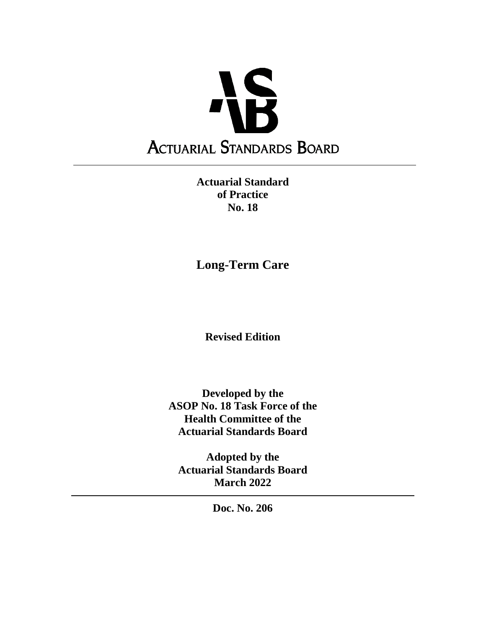

# **Actuarial Standard of Practice No. 18**

**Long-Term Care** 

**Revised Edition** 

**Developed by the ASOP No. 18 Task Force of the Health Committee of the Actuarial Standards Board**

**Adopted by the Actuarial Standards Board March 2022**

**Doc. No. 206**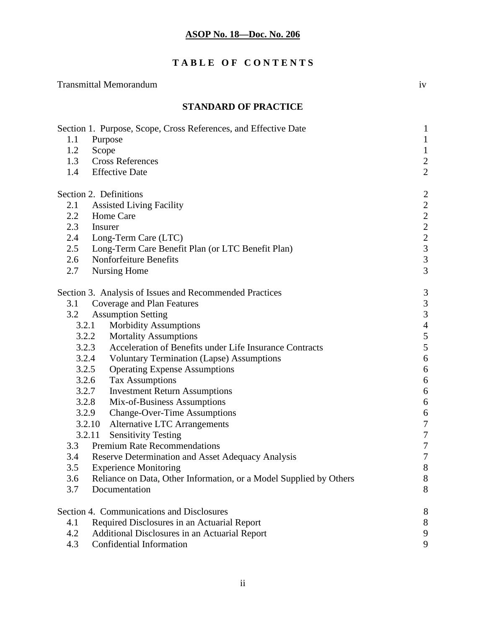# **T A B L E O F C O N T E N T S**

| <b>Transmittal Memorandum</b><br>iv |                                                                    |                  |
|-------------------------------------|--------------------------------------------------------------------|------------------|
|                                     | <b>STANDARD OF PRACTICE</b>                                        |                  |
|                                     | Section 1. Purpose, Scope, Cross References, and Effective Date    | $\mathbf{1}$     |
| 1.1                                 | Purpose                                                            | $\mathbf{1}$     |
| 1.2                                 | Scope                                                              | $\mathbf{1}$     |
| 1.3                                 | <b>Cross References</b>                                            | $\boldsymbol{2}$ |
| 1.4                                 | <b>Effective Date</b>                                              | $\overline{2}$   |
|                                     | Section 2. Definitions                                             | $\overline{c}$   |
| 2.1                                 | <b>Assisted Living Facility</b>                                    |                  |
| 2.2                                 | Home Care                                                          | $2222$<br>$33$   |
| 2.3                                 | Insurer                                                            |                  |
| 2.4                                 | Long-Term Care (LTC)                                               |                  |
| 2.5                                 | Long-Term Care Benefit Plan (or LTC Benefit Plan)                  |                  |
| 2.6                                 | Nonforfeiture Benefits                                             |                  |
| 2.7                                 | <b>Nursing Home</b>                                                | 3                |
|                                     | Section 3. Analysis of Issues and Recommended Practices            | $\mathfrak{Z}$   |
| 3.1                                 | Coverage and Plan Features                                         | $\sqrt{3}$       |
| 3.2                                 | <b>Assumption Setting</b>                                          | $\mathfrak{Z}$   |
|                                     | <b>Morbidity Assumptions</b><br>3.2.1                              | $\overline{4}$   |
|                                     | 3.2.2<br><b>Mortality Assumptions</b>                              | $\sqrt{5}$       |
|                                     | 3.2.3<br>Acceleration of Benefits under Life Insurance Contracts   | $\sqrt{5}$       |
|                                     | <b>Voluntary Termination (Lapse) Assumptions</b><br>3.2.4          | $\boldsymbol{6}$ |
|                                     | 3.2.5<br><b>Operating Expense Assumptions</b>                      | 6                |
|                                     | 3.2.6<br><b>Tax Assumptions</b>                                    | 6                |
|                                     | 3.2.7<br><b>Investment Return Assumptions</b>                      | $\boldsymbol{6}$ |
|                                     | Mix-of-Business Assumptions<br>3.2.8                               | 6                |
|                                     | 3.2.9<br><b>Change-Over-Time Assumptions</b>                       | 6                |
|                                     | 3.2.10<br><b>Alternative LTC Arrangements</b>                      | $\overline{7}$   |
|                                     | 3.2.11<br><b>Sensitivity Testing</b>                               | $\boldsymbol{7}$ |
| 3.3                                 | <b>Premium Rate Recommendations</b>                                | $\tau$           |
| 3.4                                 | Reserve Determination and Asset Adequacy Analysis                  | 7                |
| 3.5                                 | <b>Experience Monitoring</b>                                       | $8\,$            |
| 3.6                                 | Reliance on Data, Other Information, or a Model Supplied by Others | 8                |
| 3.7                                 | Documentation                                                      | 8                |
|                                     | Section 4. Communications and Disclosures                          | 8                |
| 4.1                                 | Required Disclosures in an Actuarial Report                        | $8\,$            |
| 4.2                                 | Additional Disclosures in an Actuarial Report                      | 9                |
| 4.3                                 | Confidential Information                                           | 9                |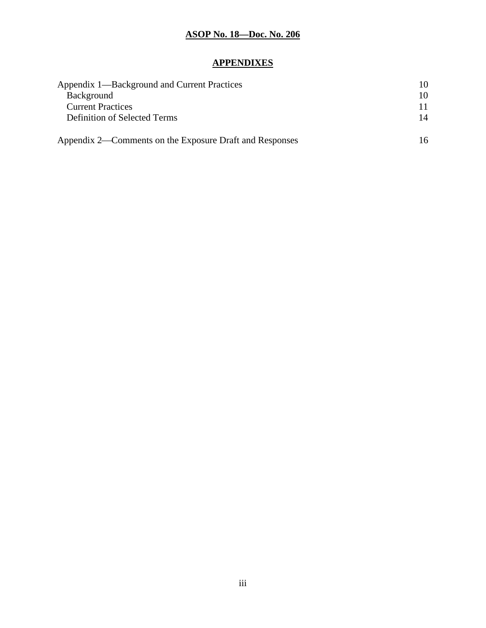## **APPENDIXES**

| Appendix 1—Background and Current Practices             | 10 |
|---------------------------------------------------------|----|
| Background                                              | 10 |
| <b>Current Practices</b>                                | 11 |
| Definition of Selected Terms                            | 14 |
| Appendix 2—Comments on the Exposure Draft and Responses | 16 |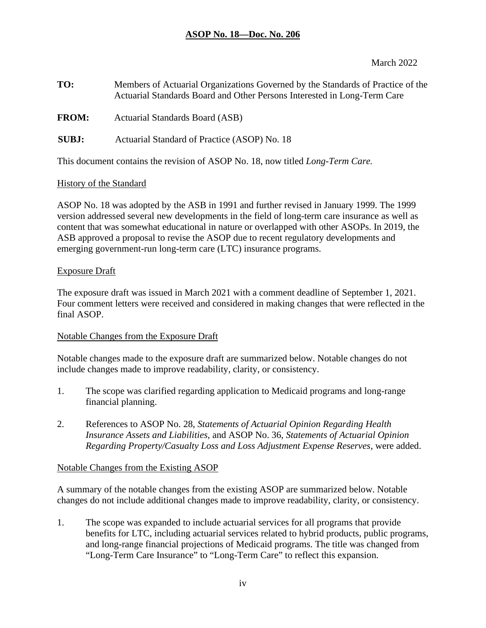#### March 2022

- **TO:** Members of Actuarial Organizations Governed by the Standards of Practice of the Actuarial Standards Board and Other Persons Interested in Long-Term Care
- **FROM:** Actuarial Standards Board (ASB)
- **SUBJ:** Actuarial Standard of Practice (ASOP) No. 18

This document contains the revision of ASOP No. 18, now titled *Long-Term Care.* 

#### History of the Standard

ASOP No. 18 was adopted by the ASB in 1991 and further revised in January 1999. The 1999 version addressed several new developments in the field of long-term care insurance as well as content that was somewhat educational in nature or overlapped with other ASOPs. In 2019, the ASB approved a proposal to revise the ASOP due to recent regulatory developments and emerging government-run long-term care (LTC) insurance programs.

#### Exposure Draft

The exposure draft was issued in March 2021 with a comment deadline of September 1, 2021. Four comment letters were received and considered in making changes that were reflected in the final ASOP.

#### Notable Changes from the Exposure Draft

Notable changes made to the exposure draft are summarized below. Notable changes do not include changes made to improve readability, clarity, or consistency.

- 1. The scope was clarified regarding application to Medicaid programs and long-range financial planning.
- 2. References to ASOP No. 28, *Statements of Actuarial Opinion Regarding Health Insurance Assets and Liabilities*, and ASOP No. 36, *Statements of Actuarial Opinion Regarding Property/Casualty Loss and Loss Adjustment Expense Reserves*, were added.

#### Notable Changes from the Existing ASOP

A summary of the notable changes from the existing ASOP are summarized below. Notable changes do not include additional changes made to improve readability, clarity, or consistency.

1. The scope was expanded to include actuarial services for all programs that provide benefits for LTC, including actuarial services related to hybrid products, public programs, and long-range financial projections of Medicaid programs. The title was changed from "Long-Term Care Insurance" to "Long-Term Care" to reflect this expansion.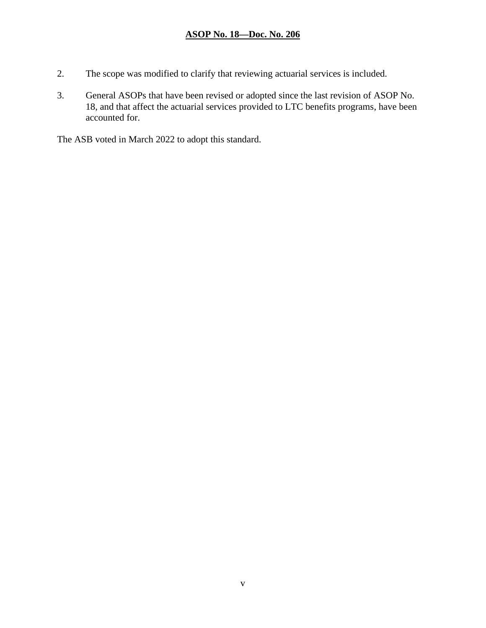- 2. The scope was modified to clarify that reviewing actuarial services is included.
- 3. General ASOPs that have been revised or adopted since the last revision of ASOP No. 18, and that affect the actuarial services provided to LTC benefits programs, have been accounted for.

The ASB voted in March 2022 to adopt this standard.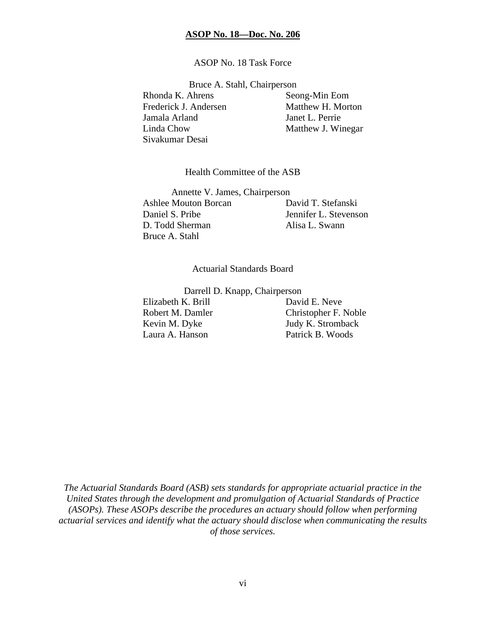#### ASOP No. 18 Task Force

Bruce A. Stahl, Chairperson Rhonda K. Ahrens Seong-Min Eom Frederick J. Andersen Matthew H. Morton Jamala Arland Janet L. Perrie Linda Chow Matthew J. Winegar Sivakumar Desai

#### Health Committee of the ASB

Annette V. James, Chairperson Ashlee Mouton Borcan David T. Stefanski Daniel S. Pribe Jennifer L. Stevenson D. Todd Sherman Alisa L. Swann Bruce A. Stahl

Actuarial Standards Board

Darrell D. Knapp, Chairperson

Elizabeth K. Brill David E. Neve Laura A. Hanson Patrick B. Woods

Robert M. Damler Christopher F. Noble Kevin M. Dyke Judy K. Stromback

*The Actuarial Standards Board (ASB) sets standards for appropriate actuarial practice in the United States through the development and promulgation of Actuarial Standards of Practice (ASOPs). These ASOPs describe the procedures an actuary should follow when performing actuarial services and identify what the actuary should disclose when communicating the results of those services.*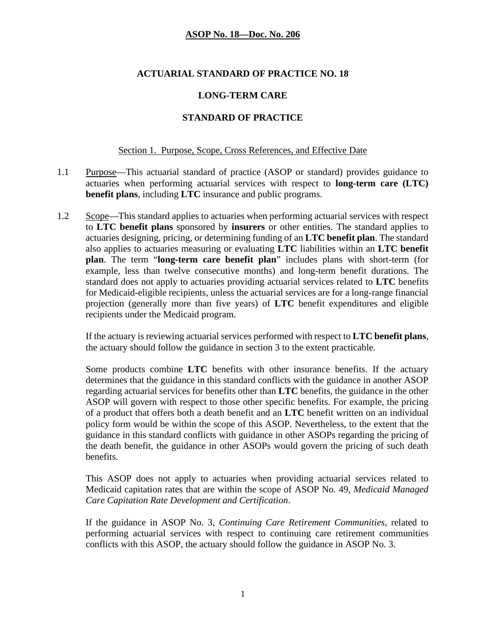#### **ACTUARIAL STANDARD OF PRACTICE NO. 18**

#### **LONG-TERM CARE**

#### **STANDARD OF PRACTICE**

#### Section 1. Purpose, Scope, Cross References, and Effective Date

- 1.1 Purpose—This actuarial standard of practice (ASOP or standard) provides guidance to actuaries when performing actuarial services with respect to **long-term care (LTC) benefit plans**, including **LTC** insurance and public programs.
- 1.2 Scope—This standard applies to actuaries when performing actuarial services with respect to **LTC benefit plans** sponsored by **insurers** or other entities. The standard applies to actuaries designing, pricing, or determining funding of an **LTC benefit plan**. The standard also applies to actuaries measuring or evaluating **LTC** liabilities within an **LTC benefit plan**. The term "**long-term care benefit plan**" includes plans with short-term (for example, less than twelve consecutive months) and long-term benefit durations. The standard does not apply to actuaries providing actuarial services related to **LTC** benefits for Medicaid-eligible recipients, unless the actuarial services are for a long-range financial projection (generally more than five years) of **LTC** benefit expenditures and eligible recipients under the Medicaid program.

If the actuary is reviewing actuarial services performed with respect to **LTC benefit plans**, the actuary should follow the guidance in section 3 to the extent practicable.

Some products combine **LTC** benefits with other insurance benefits. If the actuary determines that the guidance in this standard conflicts with the guidance in another ASOP regarding actuarial services for benefits other than **LTC** benefits, the guidance in the other ASOP will govern with respect to those other specific benefits. For example, the pricing of a product that offers both a death benefit and an **LTC** benefit written on an individual policy form would be within the scope of this ASOP. Nevertheless, to the extent that the guidance in this standard conflicts with guidance in other ASOPs regarding the pricing of the death benefit, the guidance in other ASOPs would govern the pricing of such death benefits.

This ASOP does not apply to actuaries when providing actuarial services related to Medicaid capitation rates that are within the scope of ASOP No. 49, *Medicaid Managed Care Capitation Rate Development and Certification*.

If the guidance in ASOP No. 3, *Continuing Care Retirement Communities*, related to performing actuarial services with respect to continuing care retirement communities conflicts with this ASOP, the actuary should follow the guidance in ASOP No. 3.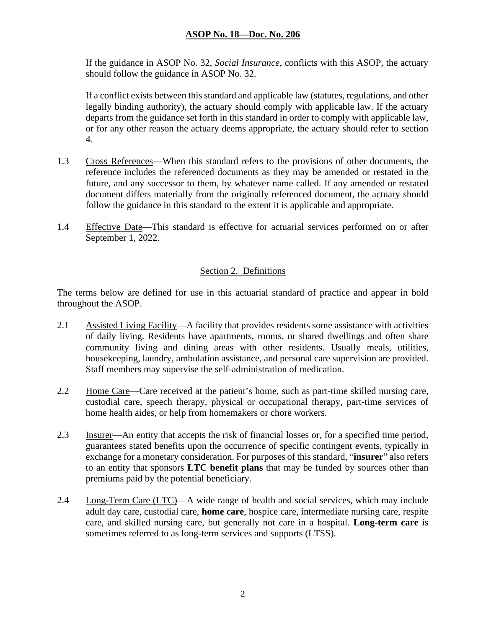If the guidance in ASOP No. 32, *Social Insurance*, conflicts with this ASOP, the actuary should follow the guidance in ASOP No. 32.

If a conflict exists between this standard and applicable law (statutes, regulations, and other legally binding authority), the actuary should comply with applicable law. If the actuary departs from the guidance set forth in this standard in order to comply with applicable law, or for any other reason the actuary deems appropriate, the actuary should refer to section 4.

- 1.3 Cross References—When this standard refers to the provisions of other documents, the reference includes the referenced documents as they may be amended or restated in the future, and any successor to them, by whatever name called. If any amended or restated document differs materially from the originally referenced document, the actuary should follow the guidance in this standard to the extent it is applicable and appropriate.
- 1.4 Effective Date—This standard is effective for actuarial services performed on or after September 1, 2022.

## Section 2. Definitions

The terms below are defined for use in this actuarial standard of practice and appear in bold throughout the ASOP.

- 2.1 Assisted Living Facility—A facility that provides residents some assistance with activities of daily living. Residents have apartments, rooms, or shared dwellings and often share community living and dining areas with other residents. Usually meals, utilities, housekeeping, laundry, ambulation assistance, and personal care supervision are provided. Staff members may supervise the self-administration of medication.
- 2.2 Home Care—Care received at the patient's home, such as part-time skilled nursing care, custodial care, speech therapy, physical or occupational therapy, part-time services of home health aides, or help from homemakers or chore workers.
- 2.3 Insurer—An entity that accepts the risk of financial losses or, for a specified time period, guarantees stated benefits upon the occurrence of specific contingent events, typically in exchange for a monetary consideration. For purposes of this standard, "**insurer**" also refers to an entity that sponsors **LTC benefit plans** that may be funded by sources other than premiums paid by the potential beneficiary.
- 2.4 Long-Term Care (LTC)—A wide range of health and social services, which may include adult day care, custodial care, **home care**, hospice care, intermediate nursing care, respite care, and skilled nursing care, but generally not care in a hospital. **Long-term care** is sometimes referred to as long-term services and supports (LTSS).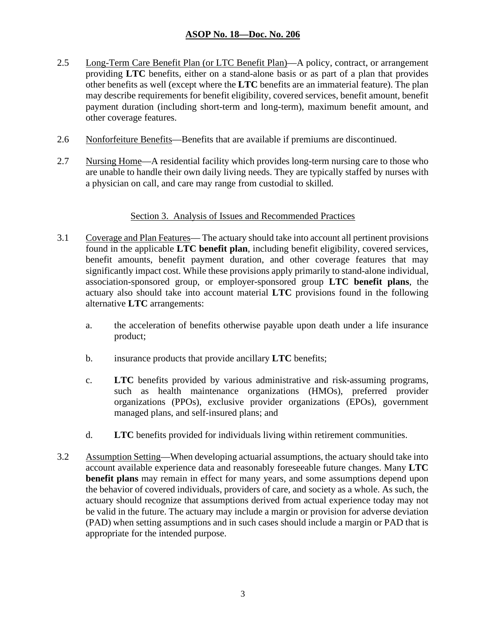- 2.5 Long-Term Care Benefit Plan (or LTC Benefit Plan)—A policy, contract, or arrangement providing **LTC** benefits, either on a stand-alone basis or as part of a plan that provides other benefits as well (except where the **LTC** benefits are an immaterial feature). The plan may describe requirements for benefit eligibility, covered services, benefit amount, benefit payment duration (including short-term and long-term), maximum benefit amount, and other coverage features.
- 2.6 Nonforfeiture Benefits—Benefits that are available if premiums are discontinued.
- 2.7 Nursing Home—A residential facility which provides long-term nursing care to those who are unable to handle their own daily living needs. They are typically staffed by nurses with a physician on call, and care may range from custodial to skilled.

## Section 3. Analysis of Issues and Recommended Practices

- 3.1 Coverage and Plan Features— The actuary should take into account all pertinent provisions found in the applicable **LTC benefit plan**, including benefit eligibility, covered services, benefit amounts, benefit payment duration, and other coverage features that may significantly impact cost. While these provisions apply primarily to stand-alone individual, association-sponsored group, or employer-sponsored group **LTC benefit plans**, the actuary also should take into account material **LTC** provisions found in the following alternative **LTC** arrangements:
	- a. the acceleration of benefits otherwise payable upon death under a life insurance product;
	- b. insurance products that provide ancillary **LTC** benefits;
	- c. **LTC** benefits provided by various administrative and risk-assuming programs, such as health maintenance organizations (HMOs), preferred provider organizations (PPOs), exclusive provider organizations (EPOs), government managed plans, and self-insured plans; and
	- d. **LTC** benefits provided for individuals living within retirement communities.
- 3.2 Assumption Setting—When developing actuarial assumptions, the actuary should take into account available experience data and reasonably foreseeable future changes. Many **LTC benefit plans** may remain in effect for many years, and some assumptions depend upon the behavior of covered individuals, providers of care, and society as a whole. As such, the actuary should recognize that assumptions derived from actual experience today may not be valid in the future. The actuary may include a margin or provision for adverse deviation (PAD) when setting assumptions and in such cases should include a margin or PAD that is appropriate for the intended purpose.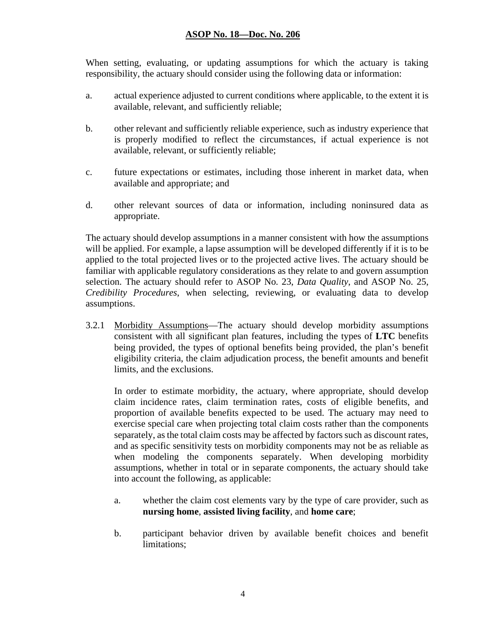When setting, evaluating, or updating assumptions for which the actuary is taking responsibility, the actuary should consider using the following data or information:

- a. actual experience adjusted to current conditions where applicable, to the extent it is available, relevant, and sufficiently reliable;
- b. other relevant and sufficiently reliable experience, such as industry experience that is properly modified to reflect the circumstances, if actual experience is not available, relevant, or sufficiently reliable;
- c. future expectations or estimates, including those inherent in market data, when available and appropriate; and
- d. other relevant sources of data or information, including noninsured data as appropriate.

The actuary should develop assumptions in a manner consistent with how the assumptions will be applied. For example, a lapse assumption will be developed differently if it is to be applied to the total projected lives or to the projected active lives. The actuary should be familiar with applicable regulatory considerations as they relate to and govern assumption selection. The actuary should refer to ASOP No. 23, *Data Quality*, and ASOP No. 25, *Credibility Procedures*, when selecting, reviewing, or evaluating data to develop assumptions.

3.2.1 Morbidity Assumptions—The actuary should develop morbidity assumptions consistent with all significant plan features, including the types of **LTC** benefits being provided, the types of optional benefits being provided, the plan's benefit eligibility criteria, the claim adjudication process, the benefit amounts and benefit limits, and the exclusions.

In order to estimate morbidity, the actuary, where appropriate, should develop claim incidence rates, claim termination rates, costs of eligible benefits, and proportion of available benefits expected to be used. The actuary may need to exercise special care when projecting total claim costs rather than the components separately, as the total claim costs may be affected by factors such as discount rates, and as specific sensitivity tests on morbidity components may not be as reliable as when modeling the components separately. When developing morbidity assumptions, whether in total or in separate components, the actuary should take into account the following, as applicable:

- a. whether the claim cost elements vary by the type of care provider, such as **nursing home**, **assisted living facility**, and **home care**;
- b. participant behavior driven by available benefit choices and benefit limitations;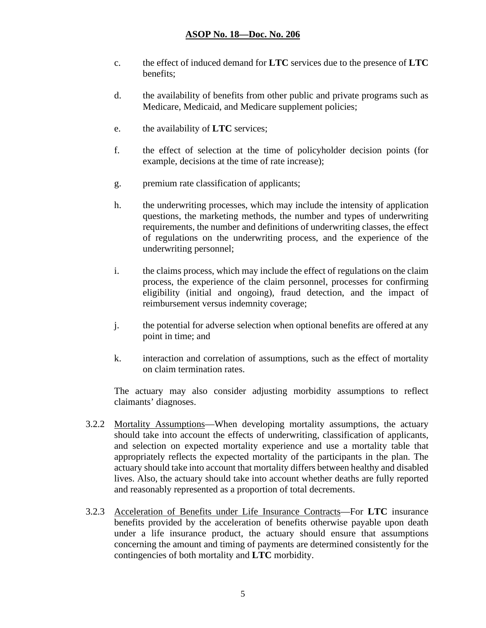- c. the effect of induced demand for **LTC** services due to the presence of **LTC** benefits;
- d. the availability of benefits from other public and private programs such as Medicare, Medicaid, and Medicare supplement policies;
- e. the availability of **LTC** services;
- f. the effect of selection at the time of policyholder decision points (for example, decisions at the time of rate increase);
- g. premium rate classification of applicants;
- h. the underwriting processes, which may include the intensity of application questions, the marketing methods, the number and types of underwriting requirements, the number and definitions of underwriting classes, the effect of regulations on the underwriting process, and the experience of the underwriting personnel;
- i. the claims process, which may include the effect of regulations on the claim process, the experience of the claim personnel, processes for confirming eligibility (initial and ongoing), fraud detection, and the impact of reimbursement versus indemnity coverage;
- j. the potential for adverse selection when optional benefits are offered at any point in time; and
- k. interaction and correlation of assumptions, such as the effect of mortality on claim termination rates.

The actuary may also consider adjusting morbidity assumptions to reflect claimants' diagnoses.

- 3.2.2 Mortality Assumptions—When developing mortality assumptions, the actuary should take into account the effects of underwriting, classification of applicants, and selection on expected mortality experience and use a mortality table that appropriately reflects the expected mortality of the participants in the plan. The actuary should take into account that mortality differs between healthy and disabled lives. Also, the actuary should take into account whether deaths are fully reported and reasonably represented as a proportion of total decrements.
- 3.2.3 Acceleration of Benefits under Life Insurance Contracts—For **LTC** insurance benefits provided by the acceleration of benefits otherwise payable upon death under a life insurance product, the actuary should ensure that assumptions concerning the amount and timing of payments are determined consistently for the contingencies of both mortality and **LTC** morbidity.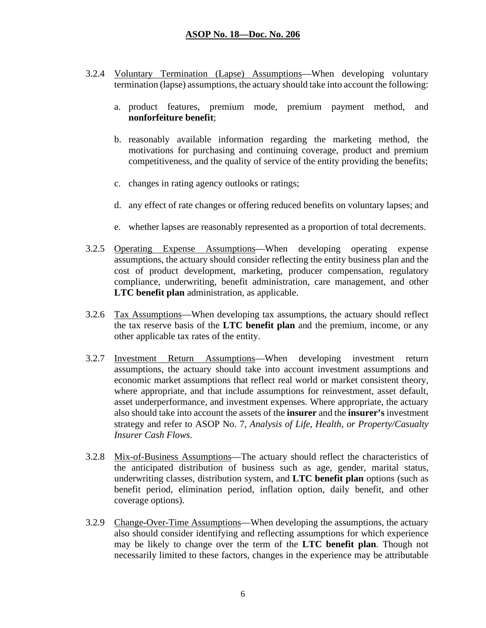- 3.2.4 Voluntary Termination (Lapse) Assumptions—When developing voluntary termination (lapse) assumptions, the actuary should take into account the following:
	- a. product features, premium mode, premium payment method, and **nonforfeiture benefit**;
	- b. reasonably available information regarding the marketing method, the motivations for purchasing and continuing coverage, product and premium competitiveness, and the quality of service of the entity providing the benefits;
	- c. changes in rating agency outlooks or ratings;
	- d. any effect of rate changes or offering reduced benefits on voluntary lapses; and
	- e. whether lapses are reasonably represented as a proportion of total decrements.
- 3.2.5 Operating Expense Assumptions—When developing operating expense assumptions, the actuary should consider reflecting the entity business plan and the cost of product development, marketing, producer compensation, regulatory compliance, underwriting, benefit administration, care management, and other **LTC benefit plan** administration, as applicable.
- 3.2.6 Tax Assumptions—When developing tax assumptions, the actuary should reflect the tax reserve basis of the **LTC benefit plan** and the premium, income, or any other applicable tax rates of the entity.
- 3.2.7 Investment Return Assumptions—When developing investment return assumptions, the actuary should take into account investment assumptions and economic market assumptions that reflect real world or market consistent theory, where appropriate, and that include assumptions for reinvestment, asset default, asset underperformance, and investment expenses. Where appropriate, the actuary also should take into account the assets of the **insurer** and the **insurer's** investment strategy and refer to ASOP No. 7, *Analysis of Life, Health, or Property/Casualty Insurer Cash Flows*.
- 3.2.8 Mix-of-Business Assumptions—The actuary should reflect the characteristics of the anticipated distribution of business such as age, gender, marital status, underwriting classes, distribution system, and **LTC benefit plan** options (such as benefit period, elimination period, inflation option, daily benefit, and other coverage options).
- 3.2.9 Change-Over-Time Assumptions—When developing the assumptions, the actuary also should consider identifying and reflecting assumptions for which experience may be likely to change over the term of the **LTC benefit plan**. Though not necessarily limited to these factors, changes in the experience may be attributable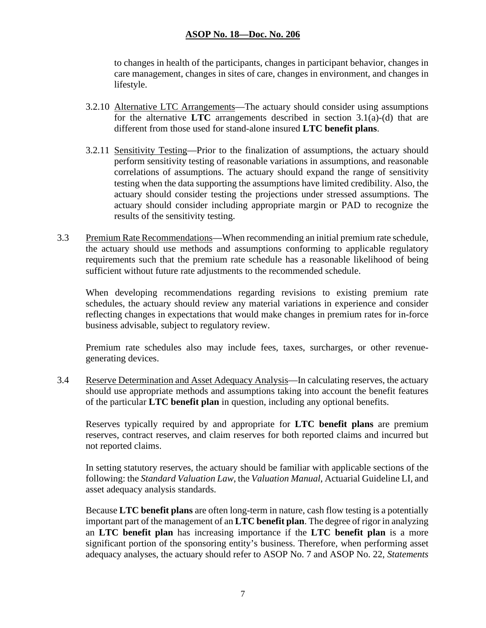to changes in health of the participants, changes in participant behavior, changes in care management, changes in sites of care, changes in environment, and changes in lifestyle.

- 3.2.10 Alternative LTC Arrangements—The actuary should consider using assumptions for the alternative **LTC** arrangements described in section 3.1(a)-(d) that are different from those used for stand-alone insured **LTC benefit plans**.
- 3.2.11 Sensitivity Testing—Prior to the finalization of assumptions, the actuary should perform sensitivity testing of reasonable variations in assumptions, and reasonable correlations of assumptions. The actuary should expand the range of sensitivity testing when the data supporting the assumptions have limited credibility. Also, the actuary should consider testing the projections under stressed assumptions. The actuary should consider including appropriate margin or PAD to recognize the results of the sensitivity testing.
- 3.3 Premium Rate Recommendations—When recommending an initial premium rate schedule, the actuary should use methods and assumptions conforming to applicable regulatory requirements such that the premium rate schedule has a reasonable likelihood of being sufficient without future rate adjustments to the recommended schedule.

When developing recommendations regarding revisions to existing premium rate schedules, the actuary should review any material variations in experience and consider reflecting changes in expectations that would make changes in premium rates for in-force business advisable, subject to regulatory review.

Premium rate schedules also may include fees, taxes, surcharges, or other revenuegenerating devices.

3.4 Reserve Determination and Asset Adequacy Analysis—In calculating reserves, the actuary should use appropriate methods and assumptions taking into account the benefit features of the particular **LTC benefit plan** in question, including any optional benefits.

Reserves typically required by and appropriate for **LTC benefit plans** are premium reserves, contract reserves, and claim reserves for both reported claims and incurred but not reported claims.

In setting statutory reserves, the actuary should be familiar with applicable sections of the following: the *Standard Valuation Law*, the *Valuation Manual*, Actuarial Guideline LI, and asset adequacy analysis standards.

Because **LTC benefit plans** are often long-term in nature, cash flow testing is a potentially important part of the management of an **LTC benefit plan**. The degree of rigor in analyzing an **LTC benefit plan** has increasing importance if the **LTC benefit plan** is a more significant portion of the sponsoring entity's business. Therefore, when performing asset adequacy analyses, the actuary should refer to ASOP No. 7 and ASOP No. 22, *Statements*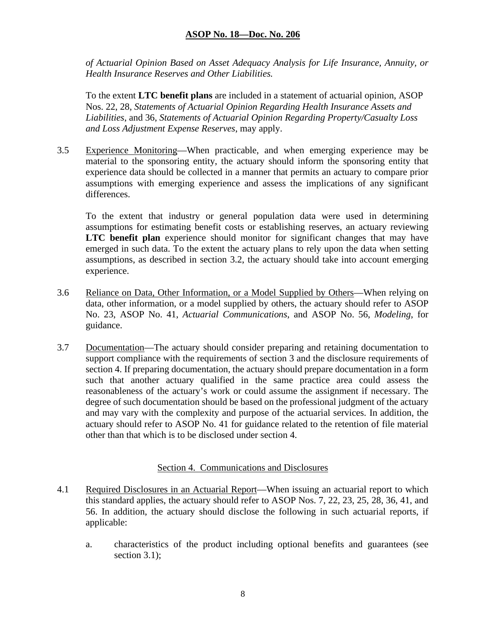*of Actuarial Opinion Based on Asset Adequacy Analysis for Life Insurance, Annuity, or Health Insurance Reserves and Other Liabilities.*

To the extent **LTC benefit plans** are included in a statement of actuarial opinion, ASOP Nos. 22, 28, *Statements of Actuarial Opinion Regarding Health Insurance Assets and Liabilities*, and 36, *Statements of Actuarial Opinion Regarding Property/Casualty Loss and Loss Adjustment Expense Reserves*, may apply.

3.5 Experience Monitoring—When practicable, and when emerging experience may be material to the sponsoring entity, the actuary should inform the sponsoring entity that experience data should be collected in a manner that permits an actuary to compare prior assumptions with emerging experience and assess the implications of any significant differences.

To the extent that industry or general population data were used in determining assumptions for estimating benefit costs or establishing reserves, an actuary reviewing **LTC benefit plan** experience should monitor for significant changes that may have emerged in such data. To the extent the actuary plans to rely upon the data when setting assumptions, as described in section 3.2, the actuary should take into account emerging experience.

- 3.6 Reliance on Data, Other Information, or a Model Supplied by Others—When relying on data, other information, or a model supplied by others, the actuary should refer to ASOP No. 23, ASOP No. 41, *Actuarial Communications*, and ASOP No. 56, *Modeling*, for guidance.
- 3.7 Documentation—The actuary should consider preparing and retaining documentation to support compliance with the requirements of section 3 and the disclosure requirements of section 4. If preparing documentation, the actuary should prepare documentation in a form such that another actuary qualified in the same practice area could assess the reasonableness of the actuary's work or could assume the assignment if necessary. The degree of such documentation should be based on the professional judgment of the actuary and may vary with the complexity and purpose of the actuarial services. In addition, the actuary should refer to ASOP No. 41 for guidance related to the retention of file material other than that which is to be disclosed under section 4.

#### Section 4. Communications and Disclosures

- 4.1 Required Disclosures in an Actuarial Report—When issuing an actuarial report to which this standard applies, the actuary should refer to ASOP Nos. 7, 22, 23, 25, 28, 36, 41, and 56. In addition, the actuary should disclose the following in such actuarial reports, if applicable:
	- a. characteristics of the product including optional benefits and guarantees (see section 3.1):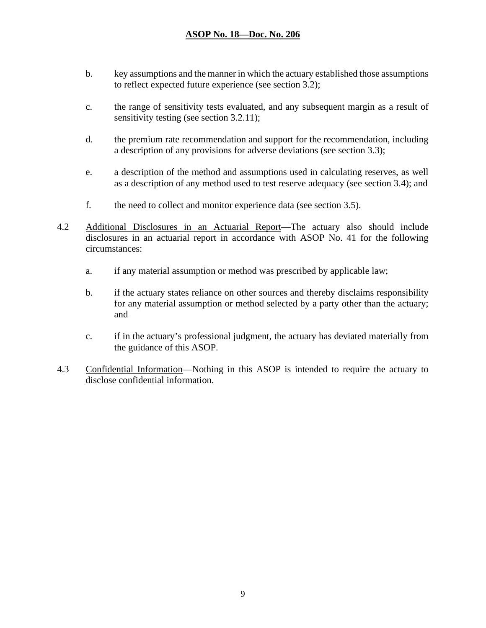- b. key assumptions and the manner in which the actuary established those assumptions to reflect expected future experience (see section 3.2);
- c. the range of sensitivity tests evaluated, and any subsequent margin as a result of sensitivity testing (see section 3.2.11);
- d. the premium rate recommendation and support for the recommendation, including a description of any provisions for adverse deviations (see section 3.3);
- e. a description of the method and assumptions used in calculating reserves, as well as a description of any method used to test reserve adequacy (see section 3.4); and
- f. the need to collect and monitor experience data (see section 3.5).
- 4.2 Additional Disclosures in an Actuarial Report—The actuary also should include disclosures in an actuarial report in accordance with ASOP No. 41 for the following circumstances:
	- a. if any material assumption or method was prescribed by applicable law;
	- b. if the actuary states reliance on other sources and thereby disclaims responsibility for any material assumption or method selected by a party other than the actuary; and
	- c. if in the actuary's professional judgment, the actuary has deviated materially from the guidance of this ASOP.
- 4.3 Confidential Information—Nothing in this ASOP is intended to require the actuary to disclose confidential information.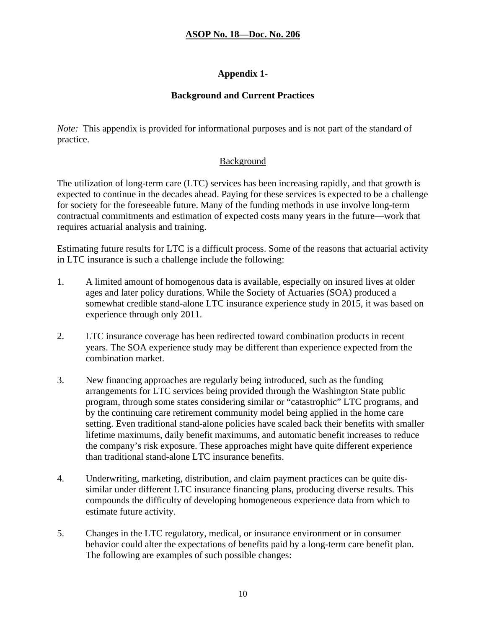# **Appendix 1-**

# **Background and Current Practices**

*Note:* This appendix is provided for informational purposes and is not part of the standard of practice.

# Background

The utilization of long-term care (LTC) services has been increasing rapidly, and that growth is expected to continue in the decades ahead. Paying for these services is expected to be a challenge for society for the foreseeable future. Many of the funding methods in use involve long-term contractual commitments and estimation of expected costs many years in the future—work that requires actuarial analysis and training.

Estimating future results for LTC is a difficult process. Some of the reasons that actuarial activity in LTC insurance is such a challenge include the following:

- 1. A limited amount of homogenous data is available, especially on insured lives at older ages and later policy durations. While the Society of Actuaries (SOA) produced a somewhat credible stand-alone LTC insurance experience study in 2015, it was based on experience through only 2011.
- 2. LTC insurance coverage has been redirected toward combination products in recent years. The SOA experience study may be different than experience expected from the combination market.
- 3. New financing approaches are regularly being introduced, such as the funding arrangements for LTC services being provided through the Washington State public program, through some states considering similar or "catastrophic" LTC programs, and by the continuing care retirement community model being applied in the home care setting. Even traditional stand-alone policies have scaled back their benefits with smaller lifetime maximums, daily benefit maximums, and automatic benefit increases to reduce the company's risk exposure. These approaches might have quite different experience than traditional stand-alone LTC insurance benefits.
- 4. Underwriting, marketing, distribution, and claim payment practices can be quite dissimilar under different LTC insurance financing plans, producing diverse results. This compounds the difficulty of developing homogeneous experience data from which to estimate future activity.
- 5. Changes in the LTC regulatory, medical, or insurance environment or in consumer behavior could alter the expectations of benefits paid by a long-term care benefit plan. The following are examples of such possible changes: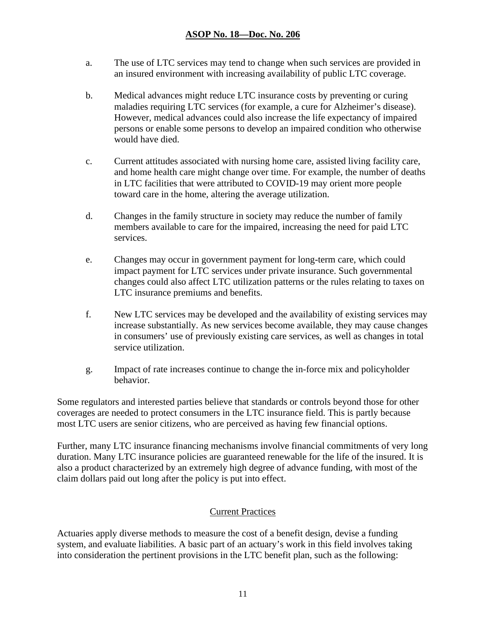- a. The use of LTC services may tend to change when such services are provided in an insured environment with increasing availability of public LTC coverage.
- b. Medical advances might reduce LTC insurance costs by preventing or curing maladies requiring LTC services (for example, a cure for Alzheimer's disease). However, medical advances could also increase the life expectancy of impaired persons or enable some persons to develop an impaired condition who otherwise would have died.
- c. Current attitudes associated with nursing home care, assisted living facility care, and home health care might change over time. For example, the number of deaths in LTC facilities that were attributed to COVID-19 may orient more people toward care in the home, altering the average utilization.
- d. Changes in the family structure in society may reduce the number of family members available to care for the impaired, increasing the need for paid LTC services.
- e. Changes may occur in government payment for long-term care, which could impact payment for LTC services under private insurance. Such governmental changes could also affect LTC utilization patterns or the rules relating to taxes on LTC insurance premiums and benefits.
- f. New LTC services may be developed and the availability of existing services may increase substantially. As new services become available, they may cause changes in consumers' use of previously existing care services, as well as changes in total service utilization.
- g. Impact of rate increases continue to change the in-force mix and policyholder behavior.

Some regulators and interested parties believe that standards or controls beyond those for other coverages are needed to protect consumers in the LTC insurance field. This is partly because most LTC users are senior citizens, who are perceived as having few financial options.

Further, many LTC insurance financing mechanisms involve financial commitments of very long duration. Many LTC insurance policies are guaranteed renewable for the life of the insured. It is also a product characterized by an extremely high degree of advance funding, with most of the claim dollars paid out long after the policy is put into effect.

#### Current Practices

Actuaries apply diverse methods to measure the cost of a benefit design, devise a funding system, and evaluate liabilities. A basic part of an actuary's work in this field involves taking into consideration the pertinent provisions in the LTC benefit plan, such as the following: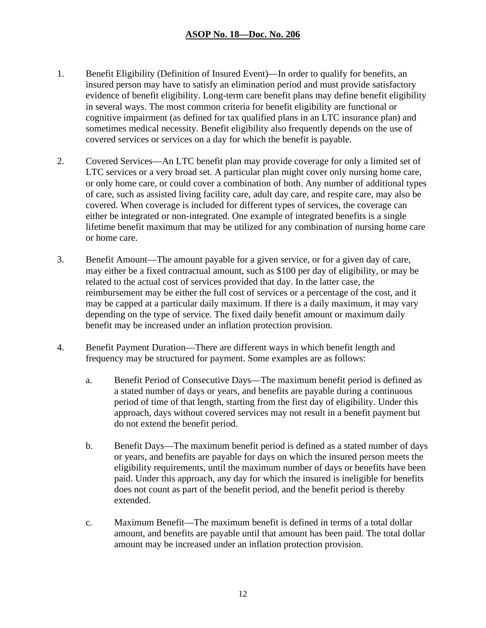- 1. Benefit Eligibility (Definition of Insured Event)—In order to qualify for benefits, an insured person may have to satisfy an elimination period and must provide satisfactory evidence of benefit eligibility. Long-term care benefit plans may define benefit eligibility in several ways. The most common criteria for benefit eligibility are functional or cognitive impairment (as defined for tax qualified plans in an LTC insurance plan) and sometimes medical necessity. Benefit eligibility also frequently depends on the use of covered services or services on a day for which the benefit is payable.
- 2. Covered Services—An LTC benefit plan may provide coverage for only a limited set of LTC services or a very broad set. A particular plan might cover only nursing home care, or only home care, or could cover a combination of both. Any number of additional types of care, such as assisted living facility care, adult day care, and respite care, may also be covered. When coverage is included for different types of services, the coverage can either be integrated or non-integrated. One example of integrated benefits is a single lifetime benefit maximum that may be utilized for any combination of nursing home care or home care.
- 3. Benefit Amount—The amount payable for a given service, or for a given day of care, may either be a fixed contractual amount, such as \$100 per day of eligibility, or may be related to the actual cost of services provided that day. In the latter case, the reimbursement may be either the full cost of services or a percentage of the cost, and it may be capped at a particular daily maximum. If there is a daily maximum, it may vary depending on the type of service. The fixed daily benefit amount or maximum daily benefit may be increased under an inflation protection provision.
- 4. Benefit Payment Duration—There are different ways in which benefit length and frequency may be structured for payment. Some examples are as follows:
	- a. Benefit Period of Consecutive Days—The maximum benefit period is defined as a stated number of days or years, and benefits are payable during a continuous period of time of that length, starting from the first day of eligibility. Under this approach, days without covered services may not result in a benefit payment but do not extend the benefit period.
	- b. Benefit Days—The maximum benefit period is defined as a stated number of days or years, and benefits are payable for days on which the insured person meets the eligibility requirements, until the maximum number of days or benefits have been paid. Under this approach, any day for which the insured is ineligible for benefits does not count as part of the benefit period, and the benefit period is thereby extended.
	- c. Maximum Benefit—The maximum benefit is defined in terms of a total dollar amount, and benefits are payable until that amount has been paid. The total dollar amount may be increased under an inflation protection provision.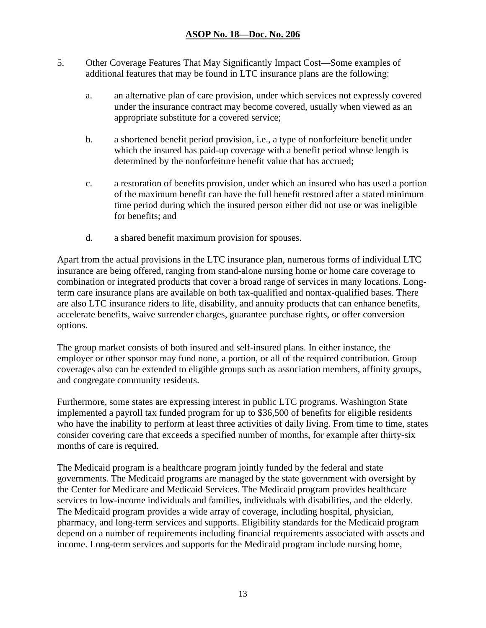- 5. Other Coverage Features That May Significantly Impact Cost—Some examples of additional features that may be found in LTC insurance plans are the following:
	- a. an alternative plan of care provision, under which services not expressly covered under the insurance contract may become covered, usually when viewed as an appropriate substitute for a covered service;
	- b. a shortened benefit period provision, i.e., a type of nonforfeiture benefit under which the insured has paid-up coverage with a benefit period whose length is determined by the nonforfeiture benefit value that has accrued;
	- c. a restoration of benefits provision, under which an insured who has used a portion of the maximum benefit can have the full benefit restored after a stated minimum time period during which the insured person either did not use or was ineligible for benefits; and
	- d. a shared benefit maximum provision for spouses.

Apart from the actual provisions in the LTC insurance plan, numerous forms of individual LTC insurance are being offered, ranging from stand-alone nursing home or home care coverage to combination or integrated products that cover a broad range of services in many locations. Longterm care insurance plans are available on both tax-qualified and nontax-qualified bases. There are also LTC insurance riders to life, disability, and annuity products that can enhance benefits, accelerate benefits, waive surrender charges, guarantee purchase rights, or offer conversion options.

The group market consists of both insured and self-insured plans. In either instance, the employer or other sponsor may fund none, a portion, or all of the required contribution. Group coverages also can be extended to eligible groups such as association members, affinity groups, and congregate community residents.

Furthermore, some states are expressing interest in public LTC programs. Washington State implemented a payroll tax funded program for up to \$36,500 of benefits for eligible residents who have the inability to perform at least three activities of daily living. From time to time, states consider covering care that exceeds a specified number of months, for example after thirty-six months of care is required.

The Medicaid program is a healthcare program jointly funded by the federal and state governments. The Medicaid programs are managed by the state government with oversight by the Center for Medicare and Medicaid Services. The Medicaid program provides healthcare services to low-income individuals and families, individuals with disabilities, and the elderly. The Medicaid program provides a wide array of coverage, including hospital, physician, pharmacy, and long-term services and supports. Eligibility standards for the Medicaid program depend on a number of requirements including financial requirements associated with assets and income. Long-term services and supports for the Medicaid program include nursing home,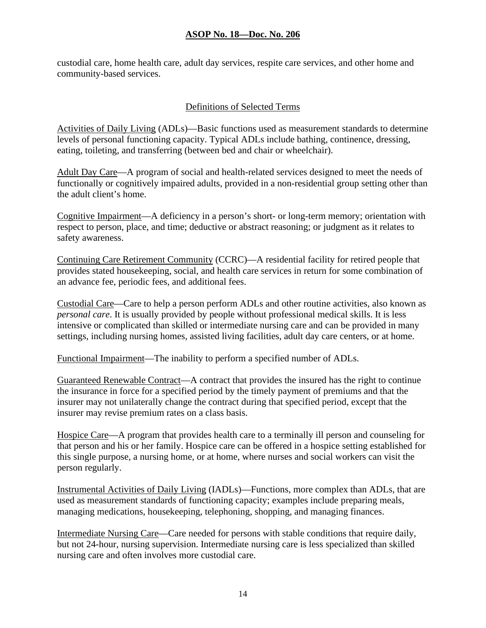custodial care, home health care, adult day services, respite care services, and other home and community-based services.

#### Definitions of Selected Terms

Activities of Daily Living (ADLs)—Basic functions used as measurement standards to determine levels of personal functioning capacity. Typical ADLs include bathing, continence, dressing, eating, toileting, and transferring (between bed and chair or wheelchair).

Adult Day Care—A program of social and health-related services designed to meet the needs of functionally or cognitively impaired adults, provided in a non-residential group setting other than the adult client's home.

Cognitive Impairment—A deficiency in a person's short- or long-term memory; orientation with respect to person, place, and time; deductive or abstract reasoning; or judgment as it relates to safety awareness.

Continuing Care Retirement Community (CCRC)—A residential facility for retired people that provides stated housekeeping, social, and health care services in return for some combination of an advance fee, periodic fees, and additional fees.

Custodial Care—Care to help a person perform ADLs and other routine activities, also known as *personal care*. It is usually provided by people without professional medical skills. It is less intensive or complicated than skilled or intermediate nursing care and can be provided in many settings, including nursing homes, assisted living facilities, adult day care centers, or at home.

Functional Impairment—The inability to perform a specified number of ADLs.

Guaranteed Renewable Contract—A contract that provides the insured has the right to continue the insurance in force for a specified period by the timely payment of premiums and that the insurer may not unilaterally change the contract during that specified period, except that the insurer may revise premium rates on a class basis.

Hospice Care—A program that provides health care to a terminally ill person and counseling for that person and his or her family. Hospice care can be offered in a hospice setting established for this single purpose, a nursing home, or at home, where nurses and social workers can visit the person regularly.

Instrumental Activities of Daily Living (IADLs)—Functions, more complex than ADLs, that are used as measurement standards of functioning capacity; examples include preparing meals, managing medications, housekeeping, telephoning, shopping, and managing finances.

Intermediate Nursing Care—Care needed for persons with stable conditions that require daily, but not 24-hour, nursing supervision. Intermediate nursing care is less specialized than skilled nursing care and often involves more custodial care.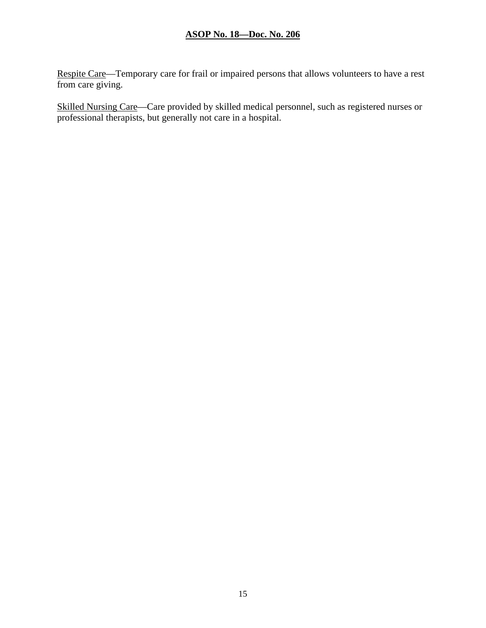Respite Care—Temporary care for frail or impaired persons that allows volunteers to have a rest from care giving.

Skilled Nursing Care—Care provided by skilled medical personnel, such as registered nurses or professional therapists, but generally not care in a hospital.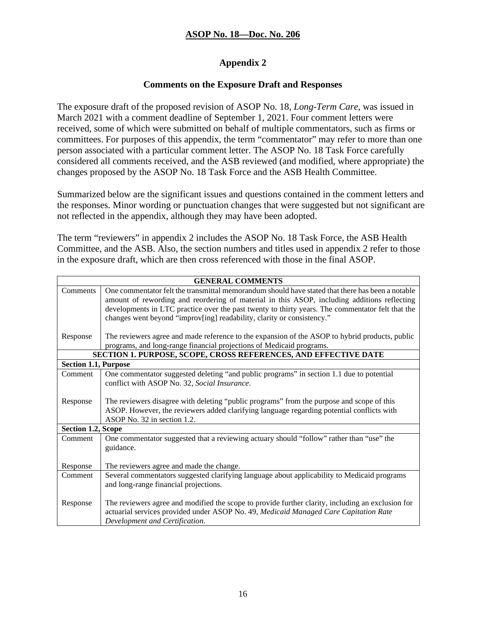## **Appendix 2**

#### **Comments on the Exposure Draft and Responses**

The exposure draft of the proposed revision of ASOP No. 18, *Long-Term Care*, was issued in March 2021 with a comment deadline of September 1, 2021. Four comment letters were received, some of which were submitted on behalf of multiple commentators, such as firms or committees. For purposes of this appendix, the term "commentator" may refer to more than one person associated with a particular comment letter. The ASOP No. 18 Task Force carefully considered all comments received, and the ASB reviewed (and modified, where appropriate) the changes proposed by the ASOP No. 18 Task Force and the ASB Health Committee.

Summarized below are the significant issues and questions contained in the comment letters and the responses. Minor wording or punctuation changes that were suggested but not significant are not reflected in the appendix, although they may have been adopted.

The term "reviewers" in appendix 2 includes the ASOP No. 18 Task Force, the ASB Health Committee, and the ASB. Also, the section numbers and titles used in appendix 2 refer to those in the exposure draft, which are then cross referenced with those in the final ASOP.

| <b>GENERAL COMMENTS</b>                                         |                                                                                                   |  |
|-----------------------------------------------------------------|---------------------------------------------------------------------------------------------------|--|
| Comments                                                        | One commentator felt the transmittal memorandum should have stated that there has been a notable  |  |
|                                                                 | amount of rewording and reordering of material in this ASOP, including additions reflecting       |  |
|                                                                 | developments in LTC practice over the past twenty to thirty years. The commentator felt that the  |  |
|                                                                 | changes went beyond "improv[ing] readability, clarity or consistency."                            |  |
|                                                                 |                                                                                                   |  |
| Response                                                        | The reviewers agree and made reference to the expansion of the ASOP to hybrid products, public    |  |
|                                                                 | programs, and long-range financial projections of Medicaid programs.                              |  |
| SECTION 1. PURPOSE, SCOPE, CROSS REFERENCES, AND EFFECTIVE DATE |                                                                                                   |  |
| <b>Section 1.1, Purpose</b>                                     |                                                                                                   |  |
| Comment                                                         | One commentator suggested deleting "and public programs" in section 1.1 due to potential          |  |
|                                                                 | conflict with ASOP No. 32, Social Insurance.                                                      |  |
|                                                                 |                                                                                                   |  |
| Response                                                        | The reviewers disagree with deleting "public programs" from the purpose and scope of this         |  |
|                                                                 | ASOP. However, the reviewers added clarifying language regarding potential conflicts with         |  |
|                                                                 | ASOP No. 32 in section 1.2.                                                                       |  |
| Section 1.2, Scope                                              |                                                                                                   |  |
| Comment                                                         | One commentator suggested that a reviewing actuary should "follow" rather than "use" the          |  |
|                                                                 | guidance.                                                                                         |  |
|                                                                 |                                                                                                   |  |
| Response                                                        | The reviewers agree and made the change.                                                          |  |
| Comment                                                         | Several commentators suggested clarifying language about applicability to Medicaid programs       |  |
|                                                                 | and long-range financial projections.                                                             |  |
|                                                                 |                                                                                                   |  |
| Response                                                        | The reviewers agree and modified the scope to provide further clarity, including an exclusion for |  |
|                                                                 | actuarial services provided under ASOP No. 49, Medicaid Managed Care Capitation Rate              |  |
|                                                                 | Development and Certification.                                                                    |  |